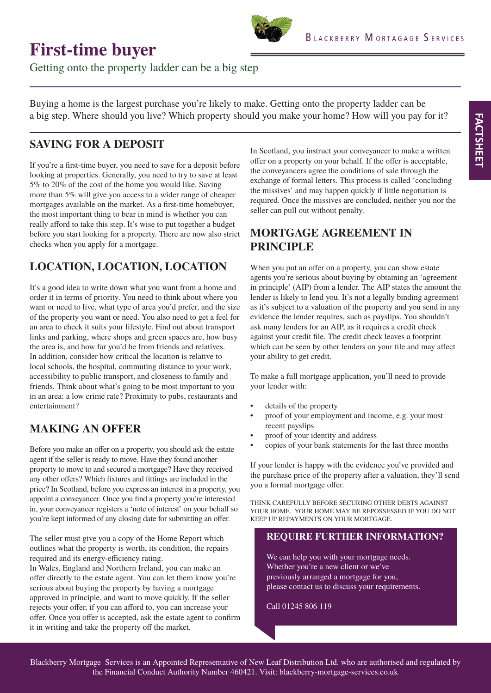# **First-time buyer**

Getting onto the property ladder can be a big step

Buying a home is the largest purchase you're likely to make. Getting onto the property ladder can be a big step. Where should you live? Which property should you make your home? How will you pay for it?

### **SAVING FOR A DEPOSIT**

If you're a first-time buyer, you need to save for a deposit before looking at properties. Generally, you need to try to save at least 5% to 20% of the cost of the home you would like. Saving more than 5% will give you access to a wider range of cheaper mortgages available on the market. As a first-time homebuyer, the most important thing to bear in mind is whether you can really afford to take this step. It's wise to put together a budget before you start looking for a property. There are now also strict checks when you apply for a mortgage.

# **LOCATION, LOCATION, LOCATION**

It's a good idea to write down what you want from a home and order it in terms of priority. You need to think about where you want or need to live, what type of area you'd prefer, and the size of the property you want or need. You also need to get a feel for an area to check it suits your lifestyle. Find out about transport links and parking, where shops and green spaces are, how busy the area is, and how far you'd be from friends and relatives. In addition, consider how critical the location is relative to local schools, the hospital, commuting distance to your work, accessibility to public transport, and closeness to family and friends. Think about what's going to be most important to you in an area: a low crime rate? Proximity to pubs, restaurants and entertainment?

# **MAKING AN OFFER**

Before you make an offer on a property, you should ask the estate agent if the seller is ready to move. Have they found another property to move to and secured a mortgage? Have they received any other offers? Which fixtures and fittings are included in the price? In Scotland, before you express an interest in a property, you appoint a conveyancer. Once you find a property you're interested in, your conveyancer registers a 'note of interest' on your behalf so you're kept informed of any closing date for submitting an offer.

The seller must give you a copy of the Home Report which outlines what the property is worth, its condition, the repairs required and its energy-efficiency rating.

In Wales, England and Northern Ireland, you can make an offer directly to the estate agent. You can let them know you're serious about buying the property by having a mortgage approved in principle, and want to move quickly. If the seller rejects your offer, if you can afford to, you can increase your offer. Once you offer is accepted, ask the estate agent to confirm it in writing and take the property off the market.

In Scotland, you instruct your conveyancer to make a written offer on a property on your behalf. If the offer is acceptable, the conveyancers agree the conditions of sale through the exchange of formal letters. This process is called 'concluding the missives' and may happen quickly if little negotiation is required. Once the missives are concluded, neither you nor the seller can pull out without penalty.

#### **MORTGAGE AGREEMENT IN PRINCIPLE**

When you put an offer on a property, you can show estate agents you're serious about buying by obtaining an 'agreement in principle' (AIP) from a lender. The AIP states the amount the lender is likely to lend you. It's not a legally binding agreement as it's subject to a valuation of the property and you send in any evidence the lender requires, such as payslips. You shouldn't ask many lenders for an AIP, as it requires a credit check against your credit file. The credit check leaves a footprint which can be seen by other lenders on your file and may affect your ability to get credit.

To make a full mortgage application, you'll need to provide your lender with:

- details of the property
- proof of your employment and income, e.g. your most recent payslips
- proof of your identity and address
- copies of your bank statements for the last three months

If your lender is happy with the evidence you've provided and the purchase price of the property after a valuation, they'll send you a formal mortgage offer.

THINK CAREFULLY BEFORE SECURING OTHER DEBTS AGAINST YOUR HOME. YOUR HOME MAY BE REPOSSESSED IF YOU DO NOT KEEP UP REPAYMENTS ON YOUR MORTGAGE.

#### **REQUIRE FURTHER INFORMATION?**

We can help you with your mortgage needs. Whether you're a new client or we've previously arranged a mortgage for you, please contact us to discuss your requirements.

Call 01245 806 119

Blackberry Mortgage Services is an Appointed Representative of New Leaf Distribution Ltd. who are authorised and regulated by the Financial Conduct Authority Number 460421. Visit: blackberry-mortgage-services.co.uk